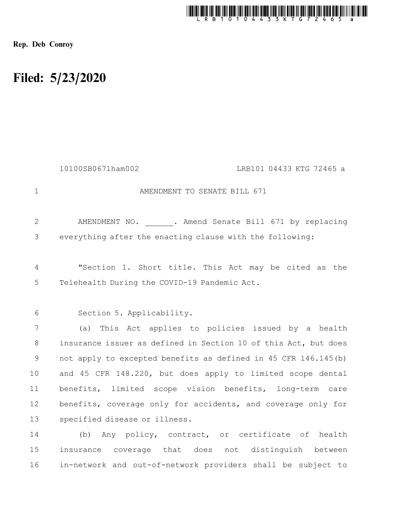

Rep. Deb Conroy

## Filed: 5/23/2020

|             | 10100SB0671ham002<br>LRB101 04433 KTG 72465 a                                                         |
|-------------|-------------------------------------------------------------------------------------------------------|
| $\mathbf 1$ | AMENDMENT TO SENATE BILL 671                                                                          |
| 2           | AMENDMENT NO. ______. Amend Senate Bill 671 by replacing                                              |
| 3           | everything after the enacting clause with the following:                                              |
| 4<br>5      | "Section 1. Short title. This Act may be cited as the<br>Telehealth During the COVID-19 Pandemic Act. |
| 6           | Section 5. Applicability.                                                                             |
| 7           | This Act applies to policies issued by a health<br>(a)                                                |
| 8           | insurance issuer as defined in Section 10 of this Act, but does                                       |
| 9           | not apply to excepted benefits as defined in 45 CFR 146.145(b)                                        |
| 10          | and 45 CFR 148.220, but does apply to limited scope dental                                            |
| 11          | benefits, limited scope vision benefits, long-term care                                               |
| 12          | benefits, coverage only for accidents, and coverage only for                                          |
| 13          | specified disease or illness.                                                                         |
| 14          | Any policy, contract, or certificate of health<br>(b)                                                 |
| 15          | insurance coverage that does not distinguish between                                                  |
| 16          | in-network and out-of-network providers shall be subject to                                           |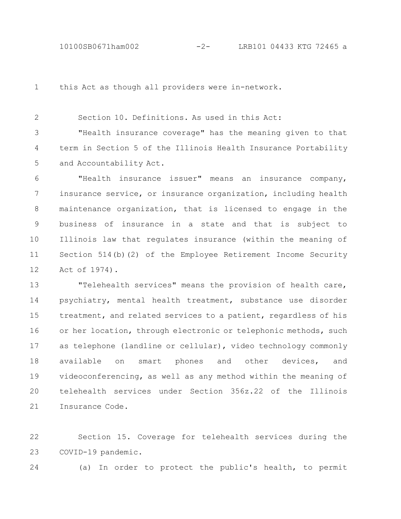this Act as though all providers were in-network. 1

Section 10. Definitions. As used in this Act:

2

"Health insurance coverage" has the meaning given to that term in Section 5 of the Illinois Health Insurance Portability and Accountability Act. 3 4 5

"Health insurance issuer" means an insurance company, insurance service, or insurance organization, including health maintenance organization, that is licensed to engage in the business of insurance in a state and that is subject to Illinois law that regulates insurance (within the meaning of Section 514(b)(2) of the Employee Retirement Income Security Act of 1974). 6 7 8 9 10 11 12

"Telehealth services" means the provision of health care, psychiatry, mental health treatment, substance use disorder treatment, and related services to a patient, regardless of his or her location, through electronic or telephonic methods, such as telephone (landline or cellular), video technology commonly available on smart phones and other devices, and videoconferencing, as well as any method within the meaning of telehealth services under Section 356z.22 of the Illinois Insurance Code. 13 14 15 16 17 18 19 20 21

Section 15. Coverage for telehealth services during the COVID-19 pandemic. 22 23

(a) In order to protect the public's health, to permit 24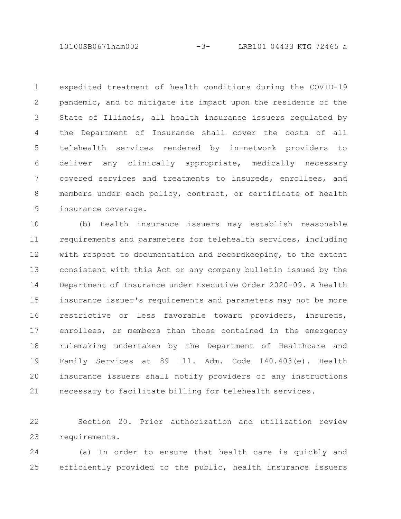10100SB0671ham002 -3- LRB101 04433 KTG 72465 a

expedited treatment of health conditions during the COVID-19 pandemic, and to mitigate its impact upon the residents of the State of Illinois, all health insurance issuers regulated by the Department of Insurance shall cover the costs of all telehealth services rendered by in-network providers to deliver any clinically appropriate, medically necessary covered services and treatments to insureds, enrollees, and members under each policy, contract, or certificate of health insurance coverage. 1 2 3 4 5 6 7 8 9

(b) Health insurance issuers may establish reasonable requirements and parameters for telehealth services, including with respect to documentation and recordkeeping, to the extent consistent with this Act or any company bulletin issued by the Department of Insurance under Executive Order 2020-09. A health insurance issuer's requirements and parameters may not be more restrictive or less favorable toward providers, insureds, enrollees, or members than those contained in the emergency rulemaking undertaken by the Department of Healthcare and Family Services at 89 Ill. Adm. Code 140.403(e). Health insurance issuers shall notify providers of any instructions necessary to facilitate billing for telehealth services. 10 11 12 13 14 15 16 17 18 19 20 21

Section 20. Prior authorization and utilization review requirements. 22 23

(a) In order to ensure that health care is quickly and efficiently provided to the public, health insurance issuers 24 25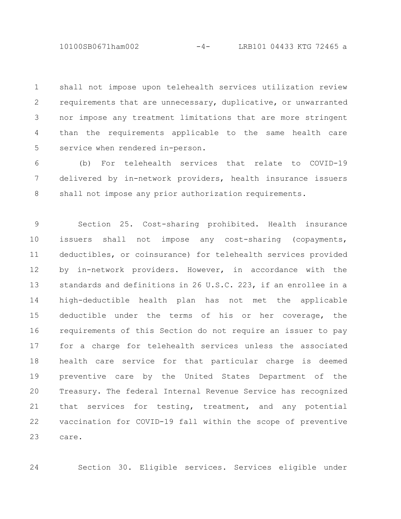10100SB0671ham002 -4- LRB101 04433 KTG 72465 a

shall not impose upon telehealth services utilization review requirements that are unnecessary, duplicative, or unwarranted nor impose any treatment limitations that are more stringent than the requirements applicable to the same health care service when rendered in-person. 1 2 3 4 5

(b) For telehealth services that relate to COVID-19 delivered by in-network providers, health insurance issuers shall not impose any prior authorization requirements. 6 7 8

Section 25. Cost-sharing prohibited. Health insurance issuers shall not impose any cost-sharing (copayments, deductibles, or coinsurance) for telehealth services provided by in-network providers. However, in accordance with the standards and definitions in 26 U.S.C. 223, if an enrollee in a high-deductible health plan has not met the applicable deductible under the terms of his or her coverage, the requirements of this Section do not require an issuer to pay for a charge for telehealth services unless the associated health care service for that particular charge is deemed preventive care by the United States Department of the Treasury. The federal Internal Revenue Service has recognized that services for testing, treatment, and any potential vaccination for COVID-19 fall within the scope of preventive care. 9 10 11 12 13 14 15 16 17 18 19 20 21 22 23

24

Section 30. Eligible services. Services eligible under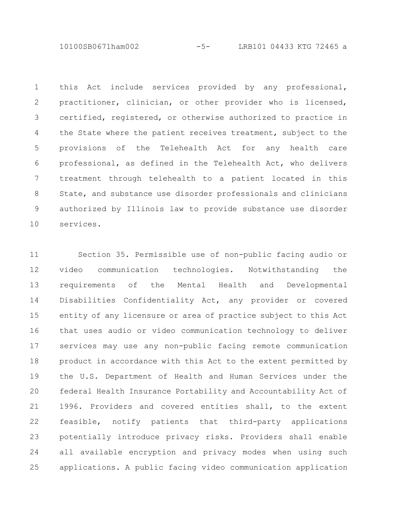10100SB0671ham002 -5- LRB101 04433 KTG 72465 a

this Act include services provided by any professional, practitioner, clinician, or other provider who is licensed, certified, registered, or otherwise authorized to practice in the State where the patient receives treatment, subject to the provisions of the Telehealth Act for any health care professional, as defined in the Telehealth Act, who delivers treatment through telehealth to a patient located in this State, and substance use disorder professionals and clinicians authorized by Illinois law to provide substance use disorder services. 1 2 3 4 5 6 7 8 9 10

Section 35. Permissible use of non-public facing audio or video communication technologies. Notwithstanding the requirements of the Mental Health and Developmental Disabilities Confidentiality Act, any provider or covered entity of any licensure or area of practice subject to this Act that uses audio or video communication technology to deliver services may use any non-public facing remote communication product in accordance with this Act to the extent permitted by the U.S. Department of Health and Human Services under the federal Health Insurance Portability and Accountability Act of 1996. Providers and covered entities shall, to the extent feasible, notify patients that third-party applications potentially introduce privacy risks. Providers shall enable all available encryption and privacy modes when using such applications. A public facing video communication application 11 12 13 14 15 16 17 18 19 20 21 22 23 24 25